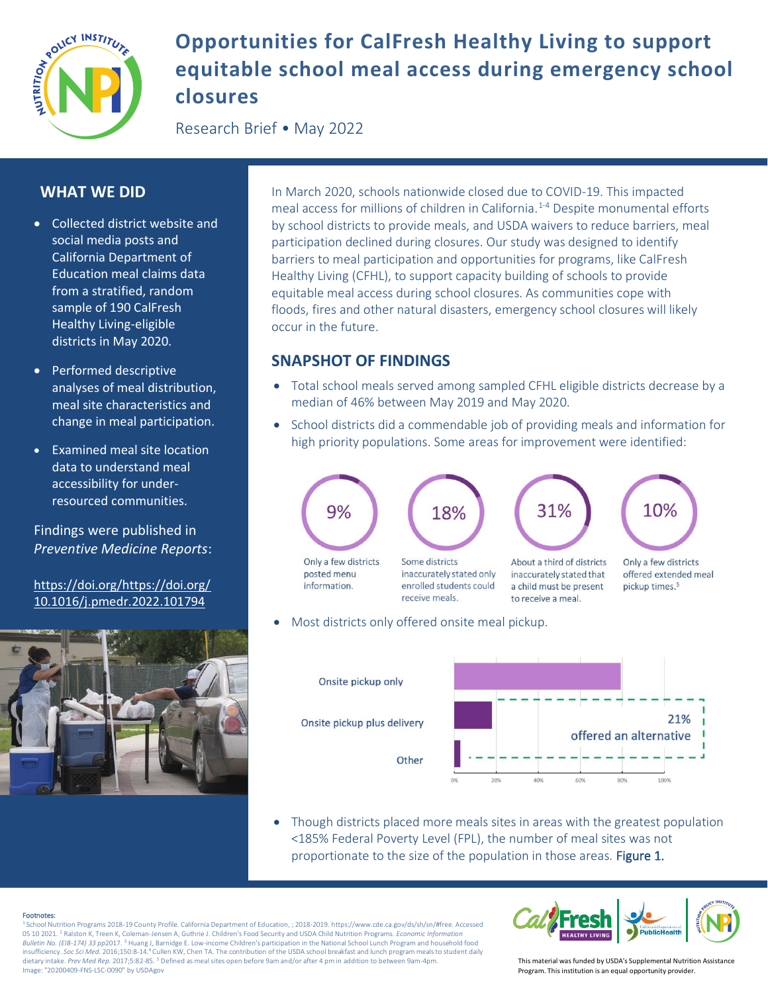

# **Opportunities for CalFresh Healthy Living to support equitable school meal access during emergency school closures**

Research Brief • May 2022

# **WHAT WE DID**

- Collected district website and social media posts and California Department of Education meal claims data from a stratified, random sample of 190 CalFresh Healthy Living-eligible districts in May 2020.
- Performed descriptive analyses of meal distribution, meal site characteristics and change in meal participation.
- Examined meal site location data to understand meal accessibility for underresourced communities.

Findings were published in *Preventive Medicine Reports*:

[https://doi.org/https://doi.org/](https://doi.org/https:/doi.org/10.1016/j.pmedr.2022.101794) [10.1016/j.pmedr.2022.101794](https://doi.org/https:/doi.org/10.1016/j.pmedr.2022.101794)



In March 2020, schools nationwide closed due to COVID-19. This impacted meal access for millions of children in California.<sup>1-4</sup> Despite monumental efforts by school districts to provide meals, and USDA waivers to reduce barriers, meal participation declined during closures. Our study was designed to identify barriers to meal participation and opportunities for programs, like CalFresh Healthy Living (CFHL), to support capacity building of schools to provide equitable meal access during school closures. As communities cope with floods, fires and other natural disasters, emergency school closures will likely occur in the future.

# **SNAPSHOT OF FINDINGS**

- Total school meals served among sampled CFHL eligible districts decrease by a median of 46% between May 2019 and May 2020.
- School districts did a commendable job of providing meals and information for high priority populations. Some areas for improvement were identified:



Most districts only offered onsite meal pickup.



• Though districts placed more meals sites in areas with the greatest population <185% Federal Poverty Level (FPL), the number of meal sites was not proportionate to the size of the population in those areas. Figure 1.

Footnotes:<br><sup>1</sup> School Nutrition Programs 2018-19 County Profile. California Department of Education, ; 2018-2019. https://www.cde.ca.gov/ds/sh/sn/#free. Accessed 05 10 2021. <sup>2</sup> Ralston K, Treen K, Coleman-Jensen A, Guthrie J. Children's Food Security and USDA Child Nutrition Programs. *Economic Information Bulletin No. (EIB-174) 33 pp*2017. <sup>3</sup> Huang J, Barnidge E. Low-income Children's participation in the National School Lunch Program and household food insufficiency. *Soc Sci Med.* 2016;150:8-14.4 Cullen KW, Chen TA. The contribution of the USDA school breakfast and lunch program meals to student daily dietary intake. *Prev Med Rep.* 2017;5:82-85. <sup>5</sup> Defined as meal sites open before 9am and/or after 4 pm in addition to between 9am-4pm. Image: "20200409-FNS-LSC-0090" by USDAgov



This material was funded by USDA's Supplemental Nutrition Assistance Program. This institution is an equal opportunity provider.